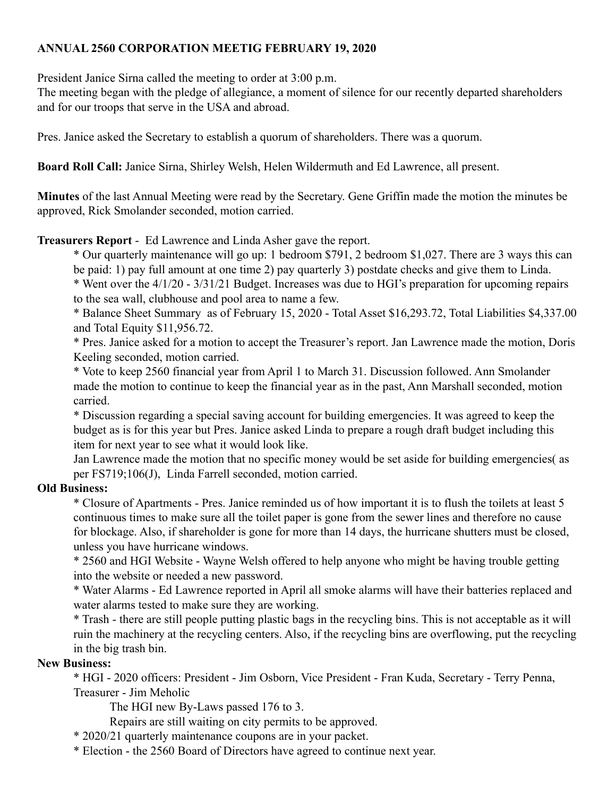## **ANNUAL 2560 CORPORATION MEETIG FEBRUARY 19, 2020**

President Janice Sirna called the meeting to order at 3:00 p.m.

The meeting began with the pledge of allegiance, a moment of silence for our recently departed shareholders and for our troops that serve in the USA and abroad.

Pres. Janice asked the Secretary to establish a quorum of shareholders. There was a quorum.

**Board Roll Call:** Janice Sirna, Shirley Welsh, Helen Wildermuth and Ed Lawrence, all present.

**Minutes** of the last Annual Meeting were read by the Secretary. Gene Griffin made the motion the minutes be approved, Rick Smolander seconded, motion carried.

## **Treasurers Report** - Ed Lawrence and Linda Asher gave the report.

\* Our quarterly maintenance will go up: 1 bedroom \$791, 2 bedroom \$1,027. There are 3 ways this can be paid: 1) pay full amount at one time 2) pay quarterly 3) postdate checks and give them to Linda. \* Went over the 4/1/20 - 3/31/21 Budget. Increases was due to HGI's preparation for upcoming repairs to the sea wall, clubhouse and pool area to name a few.

\* Balance Sheet Summary as of February 15, 2020 - Total Asset \$16,293.72, Total Liabilities \$4,337.00 and Total Equity \$11,956.72.

\* Pres. Janice asked for a motion to accept the Treasurer's report. Jan Lawrence made the motion, Doris Keeling seconded, motion carried.

\* Vote to keep 2560 financial year from April 1 to March 31. Discussion followed. Ann Smolander made the motion to continue to keep the financial year as in the past, Ann Marshall seconded, motion carried.

\* Discussion regarding a special saving account for building emergencies. It was agreed to keep the budget as is for this year but Pres. Janice asked Linda to prepare a rough draft budget including this item for next year to see what it would look like.

Jan Lawrence made the motion that no specific money would be set aside for building emergencies( as per FS719;106(J), Linda Farrell seconded, motion carried.

## **Old Business:**

\* Closure of Apartments - Pres. Janice reminded us of how important it is to flush the toilets at least 5 continuous times to make sure all the toilet paper is gone from the sewer lines and therefore no cause for blockage. Also, if shareholder is gone for more than 14 days, the hurricane shutters must be closed, unless you have hurricane windows.

\* 2560 and HGI Website - Wayne Welsh offered to help anyone who might be having trouble getting into the website or needed a new password.

\* Water Alarms - Ed Lawrence reported in April all smoke alarms will have their batteries replaced and water alarms tested to make sure they are working.

\* Trash - there are still people putting plastic bags in the recycling bins. This is not acceptable as it will ruin the machinery at the recycling centers. Also, if the recycling bins are overflowing, put the recycling in the big trash bin.

## **New Business:**

\* HGI - 2020 officers: President - Jim Osborn, Vice President - Fran Kuda, Secretary - Terry Penna, Treasurer - Jim Meholic

The HGI new By-Laws passed 176 to 3.

Repairs are still waiting on city permits to be approved.

\* 2020/21 quarterly maintenance coupons are in your packet.

\* Election - the 2560 Board of Directors have agreed to continue next year.